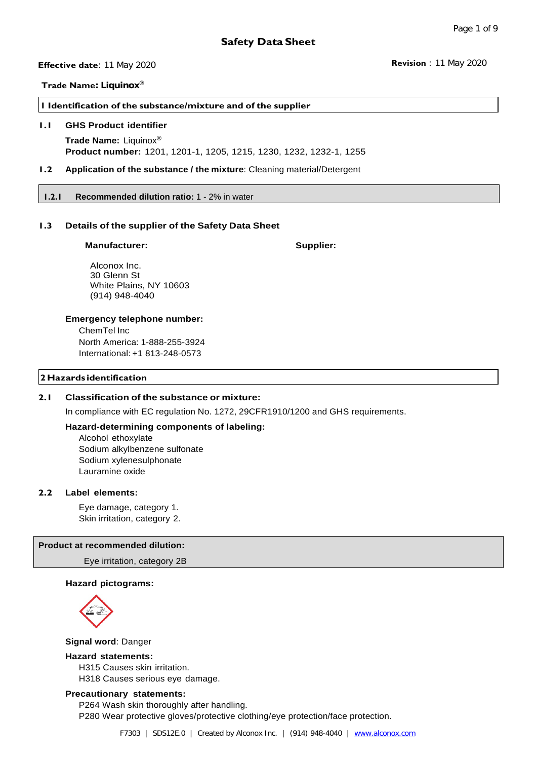#### **Trade Name: Liquinox®**

#### **1 Identification of the substance/mixture and of the supplier**

#### **1.1 GHS Product identifier**

**Trade Name:** Liquinox**® Product number:** 1201, 1201-1, 1205, 1215, 1230, 1232, 1232-1, 1255

#### **1.2 Application of the substance / the mixture**: Cleaning material/Detergent

**1.2.1 Recommended dilution ratio:** 1 - 2% in water

# **1.3 Details of the supplier of the Safety Data Sheet**

#### **Manufacturer:**

**Supplier:**

Alconox Inc. 30 Glenn St White Plains, NY 10603 (914) 948-4040

#### **Emergency telephone number:**

ChemTel Inc North America: 1-888-255-3924 International: +1 813-248-0573

# **2 Hazards identification**

#### **2.1 Classification of the substance or mixture:**

In compliance with EC regulation No. 1272, 29CFR1910/1200 and GHS requirements.

#### **Hazard-determining components of labeling:**

Alcohol ethoxylate Sodium alkylbenzene sulfonate Sodium xylenesulphonate Lauramine oxide

#### **2.2 Label elements:**

Eye damage, category 1. Skin irritation, category 2.

#### **Product at recommended dilution:**

Eye irritation, category 2B

#### **Hazard pictograms:**



**Signal word**: Danger

### **Hazard statements:**

H315 Causes skin irritation.

# H318 Causes serious eye damage.

## **Precautionary statements:**

P264 Wash skin thoroughly after handling. P280 Wear protective gloves/protective clothing/eye protection/face protection.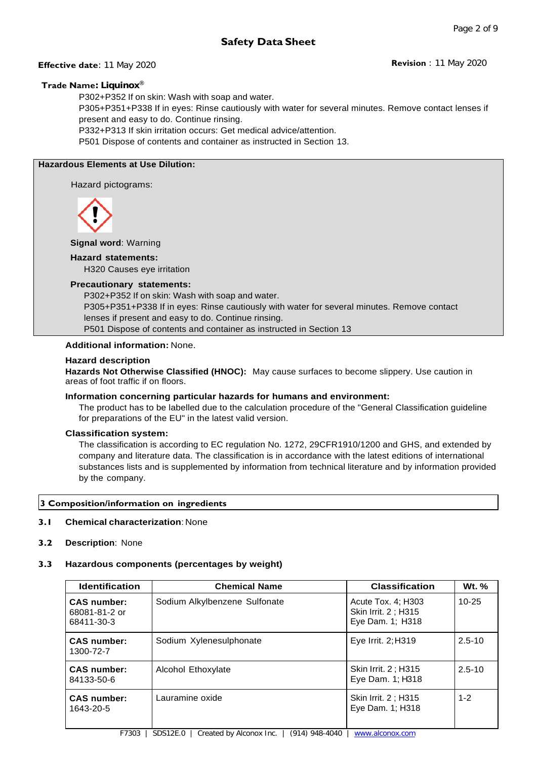# **Safety Data Sheet**

# **Effective date**: 11 May 2020 **Revision** : 11 May 2020

# **Trade Name: Liquinox®**

P302+P352 If on skin: Wash with soap and water.

P305+P351+P338 If in eyes: Rinse cautiously with water for several minutes. Remove contact lenses if present and easy to do. Continue rinsing.

P332+P313 If skin irritation occurs: Get medical advice/attention.

P501 Dispose of contents and container as instructed in Section 13.

# **Hazardous Elements at Use Dilution:**

Hazard pictograms:



**Signal word**: Warning

### **Hazard statements:**

H320 Causes eye irritation

### **Precautionary statements:**

P302+P352 If on skin: Wash with soap and water. P305+P351+P338 If in eyes: Rinse cautiously with water for several minutes. Remove contact lenses if present and easy to do. Continue rinsing. P501 Dispose of contents and container as instructed in Section 13

### **Additional information:** None.

### **Hazard description**

**Hazards Not Otherwise Classified (HNOC):** May cause surfaces to become slippery. Use caution in areas of foot traffic if on floors.

# **Information concerning particular hazards for humans and environment:**

The product has to be labelled due to the calculation procedure of the "General Classification guideline for preparations of the EU" in the latest valid version.

# **Classification system:**

The classification is according to EC regulation No. 1272, 29CFR1910/1200 and GHS, and extended by company and literature data. The classification is in accordance with the latest editions of international substances lists and is supplemented by information from technical literature and by information provided by the company.

# **3 Composition/information on ingredients**

## **3.1 Chemical characterization**: None

# **3.2 Description**: None

# **3.3 Hazardous components (percentages by weight)**

| <b>Identification</b>                                                                                | <b>Chemical Name</b>          | <b>Classification</b>                                         | Wt. %      |  |
|------------------------------------------------------------------------------------------------------|-------------------------------|---------------------------------------------------------------|------------|--|
| CAS number:<br>68081-81-2 or<br>68411-30-3                                                           | Sodium Alkylbenzene Sulfonate | Acute Tox. 4; H303<br>Skin Irrit. 2; H315<br>Eye Dam. 1; H318 | $10 - 25$  |  |
| <b>CAS number:</b><br>1300-72-7                                                                      | Sodium Xylenesulphonate       | Eye Irrit. 2; H319                                            | $2.5 - 10$ |  |
| <b>CAS number:</b><br>84133-50-6                                                                     | Alcohol Ethoxylate            | Skin Irrit. 2: H315<br>Eye Dam. 1; H318                       | $2.5 - 10$ |  |
| <b>CAS number:</b><br>1643-20-5                                                                      | Lauramine oxide               | Skin Irrit. 2 ; H315<br>Eye Dam. 1; H318                      | $1 - 2$    |  |
| <b>FROOD</b><br>CDC10E 0   Croated by Alganov Inc.  <br>$(011)$ $(010)$ $(010)$<br>usany plannou com |                               |                                                               |            |  |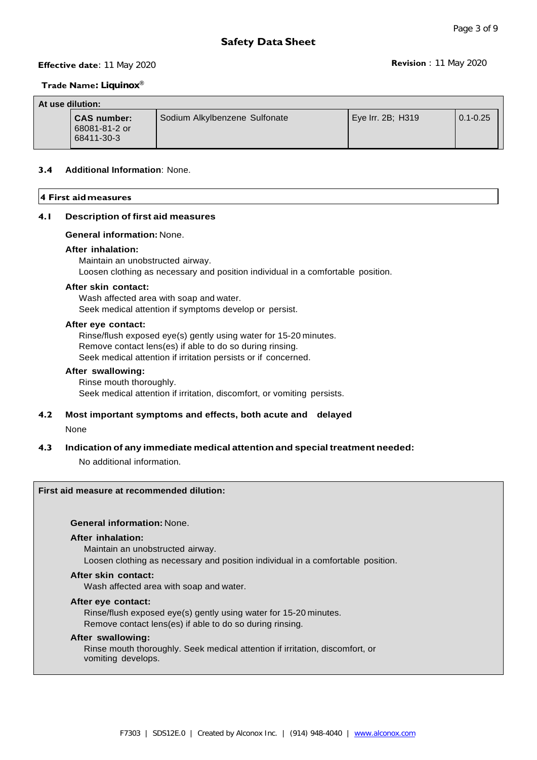## **Trade Name: Liquinox®**

| At use dilution: |                                                   |                               |                   |              |
|------------------|---------------------------------------------------|-------------------------------|-------------------|--------------|
|                  | <b>CAS number:</b><br>68081-81-2 or<br>68411-30-3 | Sodium Alkylbenzene Sulfonate | Eve Irr. 2B: H319 | $0.1 - 0.25$ |

## **3.4 Additional Information**: None.

| 4 First aid measures |  |  |
|----------------------|--|--|
|                      |  |  |

### **4.1 Description of first aid measures**

#### **General information:** None.

#### **After inhalation:**

Maintain an unobstructed airway. Loosen clothing as necessary and position individual in a comfortable position.

#### **After skin contact:**

Wash affected area with soap and water. Seek medical attention if symptoms develop or persist.

#### **After eye contact:**

Rinse/flush exposed eye(s) gently using water for 15-20 minutes. Remove contact lens(es) if able to do so during rinsing. Seek medical attention if irritation persists or if concerned.

#### **After swallowing:**

Rinse mouth thoroughly. Seek medical attention if irritation, discomfort, or vomiting persists.

**4.2 Most important symptoms and effects, both acute and delayed**

#### None

#### **4.3 Indication of any immediate medical attention and special treatment needed:**

No additional information.

#### **First aid measure at recommended dilution:**

#### **General information:** None.

#### **After inhalation:**

Maintain an unobstructed airway.

Loosen clothing as necessary and position individual in a comfortable position.

#### **After skin contact:**

Wash affected area with soap and water.

#### **After eye contact:**

Rinse/flush exposed eye(s) gently using water for 15-20 minutes. Remove contact lens(es) if able to do so during rinsing.

#### **After swallowing:**

Rinse mouth thoroughly. Seek medical attention if irritation, discomfort, or vomiting develops.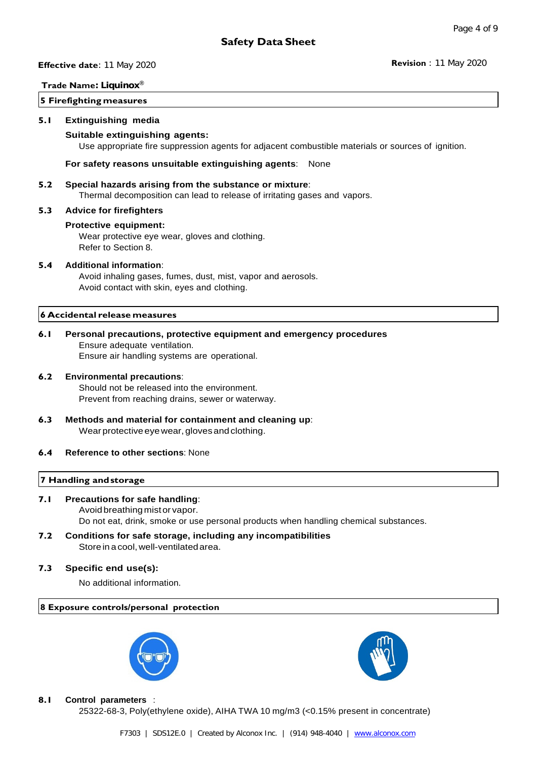### **Trade Name: Liquinox®**

# **5 Firefighting measures**

# **5.1 Extinguishing media**

## **Suitable extinguishing agents:**

Use appropriate fire suppression agents for adjacent combustible materials or sources of ignition.

#### **For safety reasons unsuitable extinguishing agents**: None

**5.2 Special hazards arising from the substance or mixture**: Thermal decomposition can lead to release of irritating gases and vapors.

#### **5.3 Advice for firefighters**

#### **Protective equipment:**

Wear protective eye wear, gloves and clothing. Refer to Section 8.

### **5.4 Additional information**:

Avoid inhaling gases, fumes, dust, mist, vapor and aerosols. Avoid contact with skin, eyes and clothing.

# **6 Accidental release measures**

# **6.1 Personal precautions, protective equipment and emergency procedures**  Ensure adequate ventilation.

Ensure air handling systems are operational.

#### **6.2 Environmental precautions**:

Should not be released into the environment. Prevent from reaching drains, sewer or waterway.

**6.3 Methods and material for containment and cleaning up**: Wear protective eye wear, gloves and clothing.

#### **6.4 Reference to other sections**: None

### **7 Handling andstorage**

# **7.1 Precautions for safe handling**:

- Avoidbreathing mistor vapor. Do not eat, drink, smoke or use personal products when handling chemical substances.
- **7.2 Conditions for safe storage, including any incompatibilities**  Store in a cool, well-ventilated area.

# **7.3 Specific end use(s):**

No additional information.

#### **8 Exposure controls/personal protection**





#### **8.1 Control parameters** :

25322-68-3, Poly(ethylene oxide), AIHA TWA 10 mg/m3 (<0.15% present in concentrate)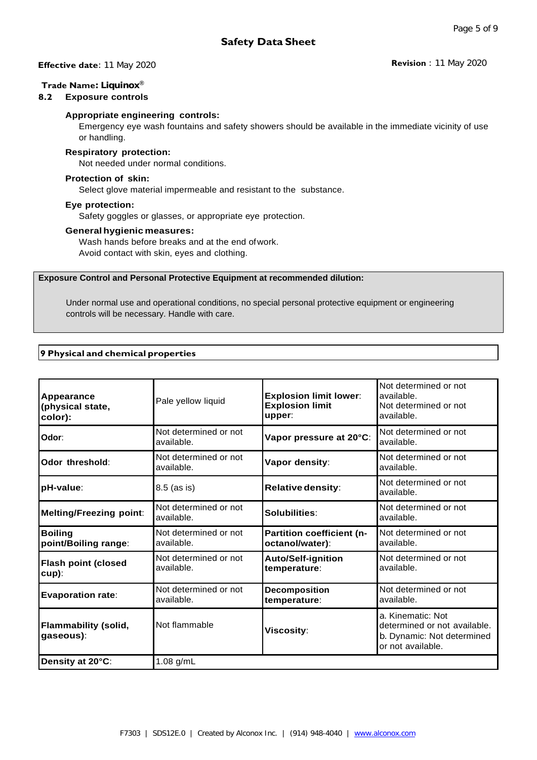# **Trade Name: Liquinox®**

# **8.2 Exposure controls**

# **Appropriate engineering controls:**

Emergency eye wash fountains and safety showers should be available in the immediate vicinity of use or handling.

# **Respiratory protection:**

Not needed under normal conditions.

# **Protection of skin:**

Select glove material impermeable and resistant to the substance.

# **Eye protection:**

Safety goggles or glasses, or appropriate eye protection.

# **General hygienic measures:**

Wash hands before breaks and at the end ofwork. Avoid contact with skin, eyes and clothing.

# **Exposure Control and Personal Protective Equipment at recommended dilution:**

Under normal use and operational conditions, no special personal protective equipment or engineering controls will be necessary. Handle with care.

# **9 Physical and chemical properties**

| Appearance<br>(physical state,<br>color): | Pale yellow liquid                  | <b>Explosion limit lower:</b><br><b>Explosion limit</b><br>upper: | Not determined or not<br>available.<br>Not determined or not<br>available.                           |
|-------------------------------------------|-------------------------------------|-------------------------------------------------------------------|------------------------------------------------------------------------------------------------------|
| Odor:                                     | Not determined or not<br>available. | Vapor pressure at 20°C:                                           | Not determined or not<br>available.                                                                  |
| Odor threshold:                           | Not determined or not<br>available. | Vapor density:                                                    | Not determined or not<br>available.                                                                  |
| pH-value:                                 | 8.5 (as is)                         | <b>Relative density:</b>                                          | Not determined or not<br>available.                                                                  |
| Melting/Freezing point:                   | Not determined or not<br>available. | Solubilities:                                                     | Not determined or not<br>available.                                                                  |
| <b>Boiling</b><br>point/Boiling range:    | Not determined or not<br>available. | <b>Partition coefficient (n-</b><br>octanol/water):               | Not determined or not<br>available.                                                                  |
| <b>Flash point (closed</b><br>cup):       | Not determined or not<br>available. | <b>Auto/Self-ignition</b><br>temperature:                         | Not determined or not<br>available.                                                                  |
| <b>Evaporation rate:</b>                  | Not determined or not<br>available. | Decomposition<br>temperature:                                     | Not determined or not<br>available.                                                                  |
| <b>Flammability (solid,</b><br>gaseous):  | Not flammable                       | Viscosity:                                                        | a. Kinematic: Not<br>determined or not available.<br>b. Dynamic: Not determined<br>or not available. |
| Density at 20°C:                          | 1.08 g/mL                           |                                                                   |                                                                                                      |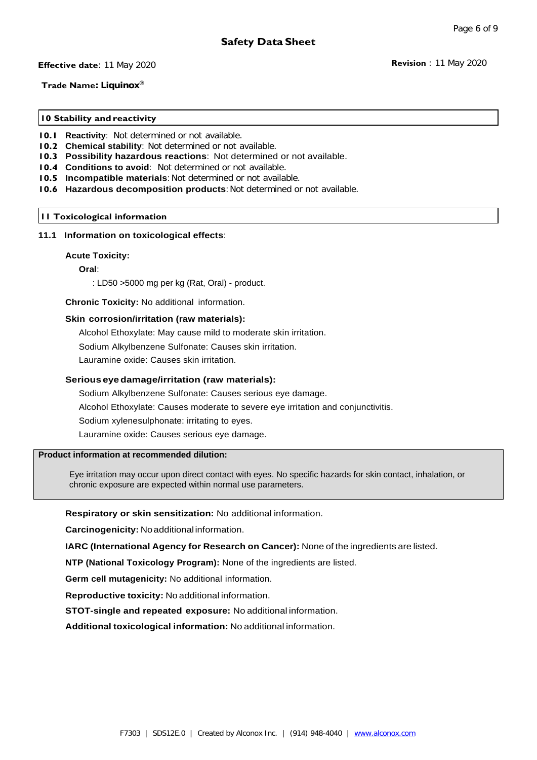**Trade Name: Liquinox®**

## **10 Stability and reactivity**

**10.1 Reactivity**: Not determined or not available.

- **10.2 Chemical stability**: Not determined or not available.
- **10.3 Possibility hazardous reactions**: Not determined or not available.
- **10.4 Conditions to avoid**: Not determined or not available.
- **10.5 Incompatible materials: Not determined or not available.**
- **10.6 Hazardous decomposition products**:Not determined or not available.

### **11 Toxicological information**

### **11.1 Information on toxicological effects**:

### **Acute Toxicity:**

### **Oral**:

: LD50 >5000 mg per kg (Rat, Oral) - product.

**Chronic Toxicity:** No additional information.

### **Skin corrosion/irritation (raw materials):**

Alcohol Ethoxylate: May cause mild to moderate skin irritation.

Sodium Alkylbenzene Sulfonate: Causes skin irritation.

Lauramine oxide: Causes skin irritation.

## **Serious eyedamage/irritation (raw materials):**

Sodium Alkylbenzene Sulfonate: Causes serious eye damage. Alcohol Ethoxylate: Causes moderate to severe eye irritation and conjunctivitis.

Sodium xylenesulphonate: irritating to eyes.

Lauramine oxide: Causes serious eye damage.

### **Product information at recommended dilution:**

Eye irritation may occur upon direct contact with eyes. No specific hazards for skin contact, inhalation, or chronic exposure are expected within normal use parameters.

**Respiratory or skin sensitization:** No additional information.

**Carcinogenicity:** Noadditional information.

**IARC (International Agency for Research on Cancer):** None of the ingredients are listed.

**NTP (National Toxicology Program):** None of the ingredients are listed.

**Germ cell mutagenicity:** No additional information.

**Reproductive toxicity:** No additional information.

**STOT-single and repeated exposure:** No additional information.

**Additional toxicological information:** No additional information.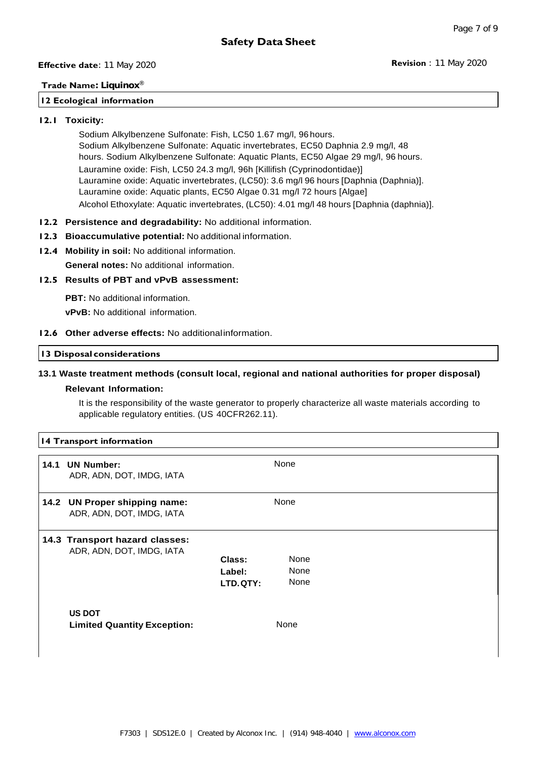## **Trade Name: Liquinox®**

## **12 Ecological information**

## **12.1 Toxicity:**

Sodium Alkylbenzene Sulfonate: Fish, LC50 1.67 mg/l, 96 hours. Sodium Alkylbenzene Sulfonate: Aquatic invertebrates, EC50 Daphnia 2.9 mg/l, 48 hours. Sodium Alkylbenzene Sulfonate: Aquatic Plants, EC50 Algae 29 mg/l, 96 hours. Lauramine oxide: Fish, LC50 24.3 mg/l, 96h [Killifish (Cyprinodontidae)] Lauramine oxide: Aquatic invertebrates, (LC50): 3.6 mg/l 96 hours [Daphnia (Daphnia)]. Lauramine oxide: Aquatic plants, EC50 Algae 0.31 mg/l 72 hours [Algae] Alcohol Ethoxylate: Aquatic invertebrates, (LC50): 4.01 mg/l 48 hours [Daphnia (daphnia)].

# **12.2 Persistence and degradability:** No additional information.

# **12.3 Bioaccumulative potential:** No additional information.

**12.4 Mobility in soil:** No additional information.

**General notes:** No additional information.

# **12.5 Results of PBT and vPvB assessment:**

**PBT:** No additional information.

**vPvB:** No additional information.

## **12.6 Other adverse effects:** No additionalinformation.

## **13 Disposal considerations**

# **13.1 Waste treatment methods (consult local, regional and national authorities for proper disposal)**

### **Relevant Information:**

It is the responsibility of the waste generator to properly characterize all waste materials according to applicable regulatory entities. (US 40CFR262.11).

| 14 Transport information |                                                                                                                    |                              |                              |
|--------------------------|--------------------------------------------------------------------------------------------------------------------|------------------------------|------------------------------|
| 14.1                     | <b>UN Number:</b><br>ADR, ADN, DOT, IMDG, IATA                                                                     |                              | None                         |
|                          | 14.2 UN Proper shipping name:<br>ADR, ADN, DOT, IMDG, IATA                                                         |                              | None                         |
|                          | 14.3 Transport hazard classes:<br>ADR, ADN, DOT, IMDG, IATA<br><b>US DOT</b><br><b>Limited Quantity Exception:</b> | Class:<br>Label:<br>LTD.QTY: | None<br>None<br>None<br>None |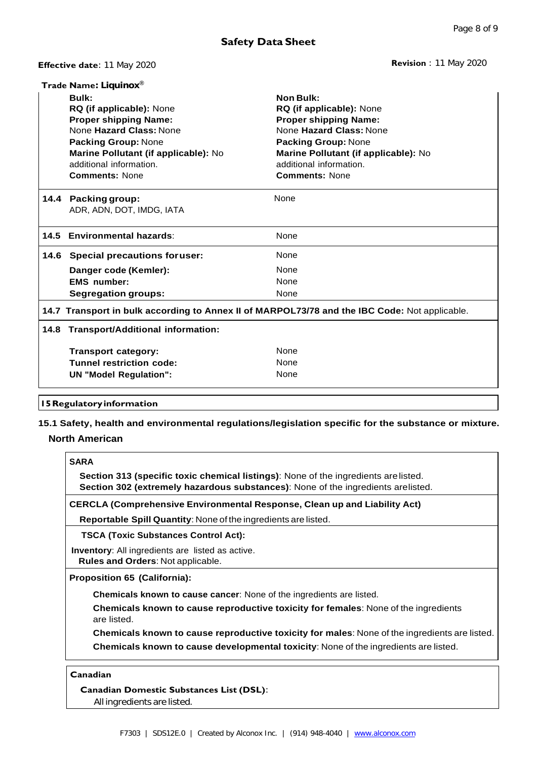# **Safety Data Sheet**

**Effective date**: 11 May 2020 **Revision** : 11 May 2020

|      | Trade Name: Liquinox <sup>®</sup>                                                             |                                      |  |  |
|------|-----------------------------------------------------------------------------------------------|--------------------------------------|--|--|
|      | Bulk:                                                                                         | Non Bulk:                            |  |  |
|      | RQ (if applicable): None                                                                      | RQ (if applicable): None             |  |  |
|      | <b>Proper shipping Name:</b>                                                                  | <b>Proper shipping Name:</b>         |  |  |
|      | None Hazard Class: None                                                                       | None Hazard Class: None              |  |  |
|      | <b>Packing Group: None</b>                                                                    | Packing Group: None                  |  |  |
|      | Marine Pollutant (if applicable): No                                                          | Marine Pollutant (if applicable): No |  |  |
|      | additional information.                                                                       | additional information.              |  |  |
|      | <b>Comments: None</b>                                                                         | <b>Comments: None</b>                |  |  |
|      | 14.4 Packing group:                                                                           | None                                 |  |  |
|      | ADR, ADN, DOT, IMDG, IATA                                                                     |                                      |  |  |
| 14.5 | <b>Environmental hazards:</b>                                                                 |                                      |  |  |
|      |                                                                                               | None                                 |  |  |
|      | 14.6 Special precautions for user:                                                            | None                                 |  |  |
|      | Danger code (Kemler):                                                                         | None                                 |  |  |
|      | <b>EMS number:</b>                                                                            | <b>None</b>                          |  |  |
|      | <b>Segregation groups:</b>                                                                    | None                                 |  |  |
|      | 14.7 Transport in bulk according to Annex II of MARPOL73/78 and the IBC Code: Not applicable. |                                      |  |  |
|      | 14.8 Transport/Additional information:                                                        |                                      |  |  |
|      | <b>Transport category:</b>                                                                    | None                                 |  |  |
|      | Tunnel restriction code:                                                                      | None                                 |  |  |
|      | <b>UN "Model Regulation":</b>                                                                 | None                                 |  |  |
|      |                                                                                               |                                      |  |  |

# **15Regulatoryinformation**

# **15.1 Safety, health and environmental regulations/legislation specific for the substance or mixture.**

# **North American**

# **SARA**

**Section 313 (specific toxic chemical listings)**: None of the ingredients arelisted. **Section 302 (extremely hazardous substances)**: None of the ingredients arelisted.

**CERCLA (Comprehensive Environmental Response, Clean up and Liability Act)**

**Reportable Spill Quantity**: None of the ingredients are listed.

**TSCA (Toxic Substances Control Act):** 

**Inventory**: All ingredients are listed as active. **Rules and Orders**: Not applicable.

# **Proposition 65 (California):**

**Chemicals known to cause cancer**: None of the ingredients are listed.

**Chemicals known to cause reproductive toxicity for females**: None of the ingredients are listed.

**Chemicals known to cause reproductive toxicity for males**: None of the ingredients are listed. **Chemicals known to cause developmental toxicity**: None of the ingredients are listed.

# **Canadian**

**Canadian Domestic Substances List (DSL)**:

All ingredients are listed.